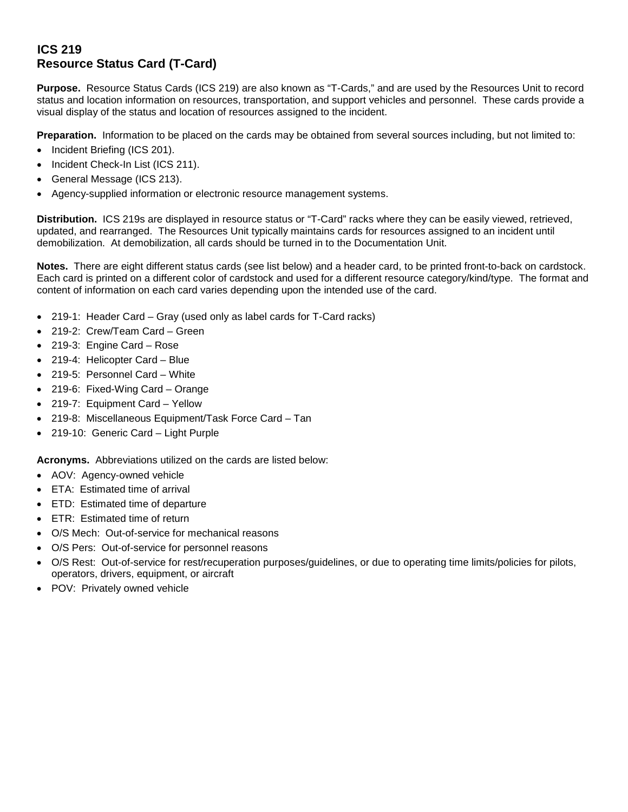## **ICS 219 Resource Status Card (T-Card)**

**Purpose.** Resource Status Cards (ICS 219) are also known as "T-Cards," and are used by the Resources Unit to record status and location information on resources, transportation, and support vehicles and personnel. These cards provide a visual display of the status and location of resources assigned to the incident.

**Preparation.** Information to be placed on the cards may be obtained from several sources including, but not limited to:

- Incident Briefing (ICS 201).
- Incident Check-In List (ICS 211).
- General Message (ICS 213).
- Agency-supplied information or electronic resource management systems.

**Distribution.** ICS 219s are displayed in resource status or "T-Card" racks where they can be easily viewed, retrieved, updated, and rearranged. The Resources Unit typically maintains cards for resources assigned to an incident until demobilization. At demobilization, all cards should be turned in to the Documentation Unit.

**Notes.** There are eight different status cards (see list below) and a header card, to be printed front-to-back on cardstock. Each card is printed on a different color of cardstock and used for a different resource category/kind/type. The format and content of information on each card varies depending upon the intended use of the card.

- 219-1: Header Card Gray (used only as label cards for T-Card racks)
- 219-2: Crew/Team Card Green
- 219-3: Engine Card Rose
- 219-4: Helicopter Card Blue
- 219-5: Personnel Card White
- 219-6: Fixed-Wing Card Orange
- 219-7: Equipment Card Yellow
- 219-8: Miscellaneous Equipment/Task Force Card Tan
- 219-10: Generic Card Light Purple

**Acronyms.** Abbreviations utilized on the cards are listed below:

- AOV: Agency-owned vehicle
- ETA: Estimated time of arrival
- ETD: Estimated time of departure
- ETR: Estimated time of return
- O/S Mech: Out-of-service for mechanical reasons
- O/S Pers: Out-of-service for personnel reasons
- O/S Rest: Out-of-service for rest/recuperation purposes/guidelines, or due to operating time limits/policies for pilots, operators, drivers, equipment, or aircraft
- POV: Privately owned vehicle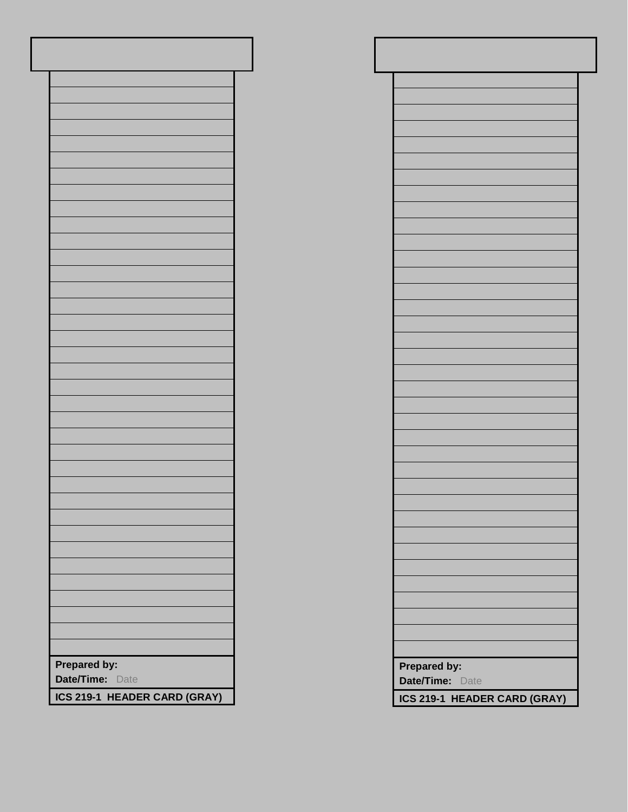| Prepared by:<br>Date/Time: Date |
|---------------------------------|
| ICS 219-1 HEADER CARD (GRAY)    |

| Prepared by:<br>Date/Time: Date |
|---------------------------------|
| ICS 219-1 HEADER CARD (GRAY)    |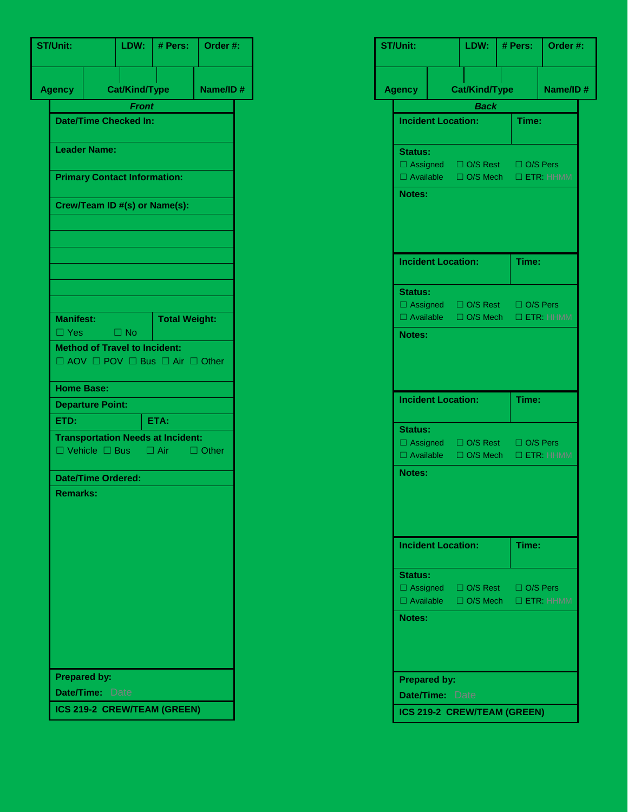| <b>ST/Unit:</b>     |                           | LDW:                                 | # Pers:                                                                                       | Order #: |  |  |
|---------------------|---------------------------|--------------------------------------|-----------------------------------------------------------------------------------------------|----------|--|--|
| <b>Agency</b>       |                           | <b>Cat/Kind/Type</b>                 |                                                                                               | Name/ID# |  |  |
|                     |                           | <b>Front</b>                         |                                                                                               |          |  |  |
|                     |                           | <b>Date/Time Checked In:</b>         |                                                                                               |          |  |  |
| <b>Leader Name:</b> |                           |                                      |                                                                                               |          |  |  |
|                     |                           |                                      | <b>Primary Contact Information:</b>                                                           |          |  |  |
|                     |                           |                                      | Crew/Team ID #(s) or Name(s):                                                                 |          |  |  |
|                     |                           |                                      |                                                                                               |          |  |  |
|                     |                           |                                      |                                                                                               |          |  |  |
|                     |                           |                                      |                                                                                               |          |  |  |
|                     |                           |                                      |                                                                                               |          |  |  |
| <b>Manifest:</b>    |                           |                                      | <b>Total Weight:</b>                                                                          |          |  |  |
|                     | $\Box$ Yes $\Box$ No      | <b>Method of Travel to Incident:</b> |                                                                                               |          |  |  |
|                     |                           |                                      | $\Box$ AOV $\Box$ POV $\Box$ Bus $\Box$ Air $\Box$ Other                                      |          |  |  |
| <b>Home Base:</b>   |                           |                                      |                                                                                               |          |  |  |
|                     | <b>Departure Point:</b>   |                                      |                                                                                               |          |  |  |
| ETD:                |                           |                                      | ETA:                                                                                          |          |  |  |
|                     |                           |                                      | <b>Transportation Needs at Incident:</b><br>$\Box$ Vehicle $\Box$ Bus $\Box$ Air $\Box$ Other |          |  |  |
|                     | <b>Date/Time Ordered:</b> |                                      |                                                                                               |          |  |  |
| <b>Remarks:</b>     |                           |                                      |                                                                                               |          |  |  |
|                     |                           |                                      |                                                                                               |          |  |  |
|                     | <b>Prepared by:</b>       |                                      |                                                                                               |          |  |  |
|                     | Date/Time: Date           |                                      |                                                                                               |          |  |  |
|                     |                           |                                      | ICS 219-2 CREW/TEAM (GREEN)                                                                   |          |  |  |

|                                        | LDW:                                                                 | # Pers: | Order #: |  |
|----------------------------------------|----------------------------------------------------------------------|---------|----------|--|
| <b>Agency</b>                          | <b>Cat/Kind/Type</b>                                                 |         | Name/ID# |  |
|                                        | <b>Back</b>                                                          |         |          |  |
| <b>Incident Location:</b>              |                                                                      | Time:   |          |  |
| <b>Status:</b>                         |                                                                      |         |          |  |
|                                        | □ Assigned □ O/S Rest □ O/S Pers                                     |         |          |  |
|                                        | □ Available □ O/S Mech □ ETR: HHMM                                   |         |          |  |
| Notes:                                 |                                                                      |         |          |  |
| <b>Incident Location:</b>              |                                                                      | Time:   |          |  |
| <b>Status:</b>                         |                                                                      |         |          |  |
|                                        | □ Assigned □ O/S Rest □ O/S Pers                                     |         |          |  |
| $\Box$ Available                       | □ O/S Mech □ ETR: HHMM                                               |         |          |  |
| Notes:                                 |                                                                      |         |          |  |
| <b>Incident Location:</b>              |                                                                      | Time:   |          |  |
|                                        |                                                                      |         |          |  |
| <b>Status:</b>                         |                                                                      |         |          |  |
| $\Box$ Available                       | □ Assigned □ O/S Rest □ O/S Pers<br>$\Box$ O/S Mech $\Box$ ETR: HHMM |         |          |  |
| Notes:                                 |                                                                      |         |          |  |
| <b>Incident Location:</b>              |                                                                      | Time:   |          |  |
| <b>Status:</b>                         |                                                                      |         |          |  |
|                                        | □ Assigned □ O/S Rest □ O/S Pers                                     |         |          |  |
|                                        | □ Available □ O/S Mech □ ETR: HHMM                                   |         |          |  |
| Notes:                                 |                                                                      |         |          |  |
| <b>Prepared by:</b><br>Date/Time: Date |                                                                      |         |          |  |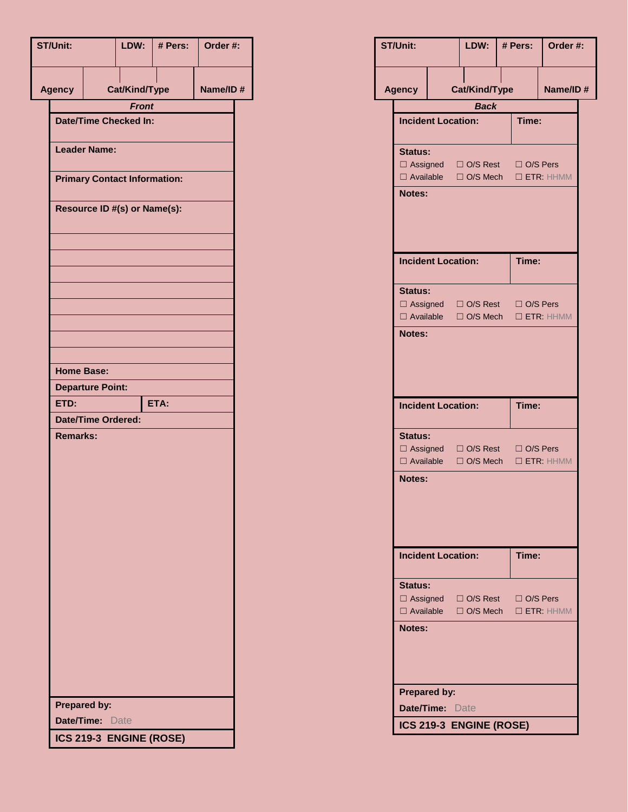| <b>ST/Unit:</b> |                                     | LDW:                                         | # Pers: | Order #: |  |  |  |
|-----------------|-------------------------------------|----------------------------------------------|---------|----------|--|--|--|
| <b>Agency</b>   |                                     | Cat/Kind/Type                                |         | Name/ID# |  |  |  |
|                 |                                     | <b>Front</b><br><b>Date/Time Checked In:</b> |         |          |  |  |  |
|                 |                                     |                                              |         |          |  |  |  |
|                 | <b>Leader Name:</b>                 |                                              |         |          |  |  |  |
|                 | <b>Primary Contact Information:</b> |                                              |         |          |  |  |  |
|                 |                                     | Resource ID #(s) or Name(s):                 |         |          |  |  |  |
|                 |                                     |                                              |         |          |  |  |  |
|                 |                                     |                                              |         |          |  |  |  |
|                 |                                     |                                              |         |          |  |  |  |
|                 |                                     |                                              |         |          |  |  |  |
|                 |                                     |                                              |         |          |  |  |  |
|                 |                                     |                                              |         |          |  |  |  |
|                 | <b>Home Base:</b>                   |                                              |         |          |  |  |  |
|                 | <b>Departure Point:</b>             |                                              |         |          |  |  |  |
| ETD:            | <b>Date/Time Ordered:</b>           |                                              | ETA:    |          |  |  |  |
| <b>Remarks:</b> |                                     |                                              |         |          |  |  |  |
|                 |                                     |                                              |         |          |  |  |  |
|                 |                                     |                                              |         |          |  |  |  |
|                 |                                     |                                              |         |          |  |  |  |
|                 |                                     |                                              |         |          |  |  |  |
|                 |                                     |                                              |         |          |  |  |  |
|                 |                                     |                                              |         |          |  |  |  |
|                 |                                     |                                              |         |          |  |  |  |
|                 |                                     |                                              |         |          |  |  |  |
|                 |                                     |                                              |         |          |  |  |  |
|                 |                                     |                                              |         |          |  |  |  |
|                 |                                     |                                              |         |          |  |  |  |
|                 |                                     |                                              |         |          |  |  |  |
|                 | <b>Prepared by:</b>                 |                                              |         |          |  |  |  |
|                 | Date/Time: Date                     |                                              |         |          |  |  |  |
|                 |                                     | ICS 219-3 ENGINE (ROSE)                      |         |          |  |  |  |

| <b>ST/Unit:</b> |                           | LDW:                                                                   |       | # Pers:         | Order #:            |  |
|-----------------|---------------------------|------------------------------------------------------------------------|-------|-----------------|---------------------|--|
| <b>Agency</b>   |                           | Cat/Kind/Type                                                          |       |                 | Name/ID#            |  |
|                 |                           | <b>Back</b>                                                            |       |                 |                     |  |
|                 | <b>Incident Location:</b> |                                                                        |       | Time:           |                     |  |
| <b>Status:</b>  |                           |                                                                        |       |                 |                     |  |
|                 |                           | □ Assigned □ O/S Rest □ O/S Pers                                       |       |                 |                     |  |
| <b>Notes:</b>   |                           | □ Available □ O/S Mech □ ETR: HHMM                                     |       |                 |                     |  |
|                 |                           |                                                                        |       |                 |                     |  |
|                 | <b>Incident Location:</b> |                                                                        | Time: |                 |                     |  |
|                 | <b>Status:</b>            |                                                                        |       |                 |                     |  |
|                 | $\Box$ Available          | □ Assigned □ O/S Rest □ O/S Pers<br>$\Box$ O/S Mech                    |       |                 | $\Box$ ETR: HHMM    |  |
| <b>Notes:</b>   |                           |                                                                        |       |                 |                     |  |
|                 |                           |                                                                        |       |                 |                     |  |
|                 |                           |                                                                        |       |                 |                     |  |
|                 |                           |                                                                        |       |                 |                     |  |
|                 | <b>Incident Location:</b> |                                                                        |       | Time:           |                     |  |
| <b>Status:</b>  |                           |                                                                        |       |                 |                     |  |
|                 | $\Box$ Available          | $\Box$ Assigned $\Box$ O/S Rest<br>$\Box$ O/S Mech                     |       | $\Box$ O/S Pers | $\square$ ETR: HHMM |  |
| <b>Notes:</b>   |                           |                                                                        |       |                 |                     |  |
|                 |                           |                                                                        |       |                 |                     |  |
|                 |                           |                                                                        |       |                 |                     |  |
|                 | <b>Incident Location:</b> |                                                                        |       | Time:           |                     |  |
|                 |                           |                                                                        |       |                 |                     |  |
| <b>Status:</b>  |                           |                                                                        |       |                 |                     |  |
|                 |                           | □ Assigned □ O/S Rest □ O/S Pers<br>□ Available □ O/S Mech □ ETR: HHMM |       |                 |                     |  |
| <b>Notes:</b>   |                           |                                                                        |       |                 |                     |  |
|                 |                           |                                                                        |       |                 |                     |  |
|                 |                           |                                                                        |       |                 |                     |  |
|                 |                           |                                                                        |       |                 |                     |  |
|                 | <b>Prepared by:</b>       |                                                                        |       |                 |                     |  |
|                 | <b>Date/Time: Date</b>    |                                                                        |       |                 |                     |  |
|                 |                           | ICS 219-3 ENGINE (ROSE)                                                |       |                 |                     |  |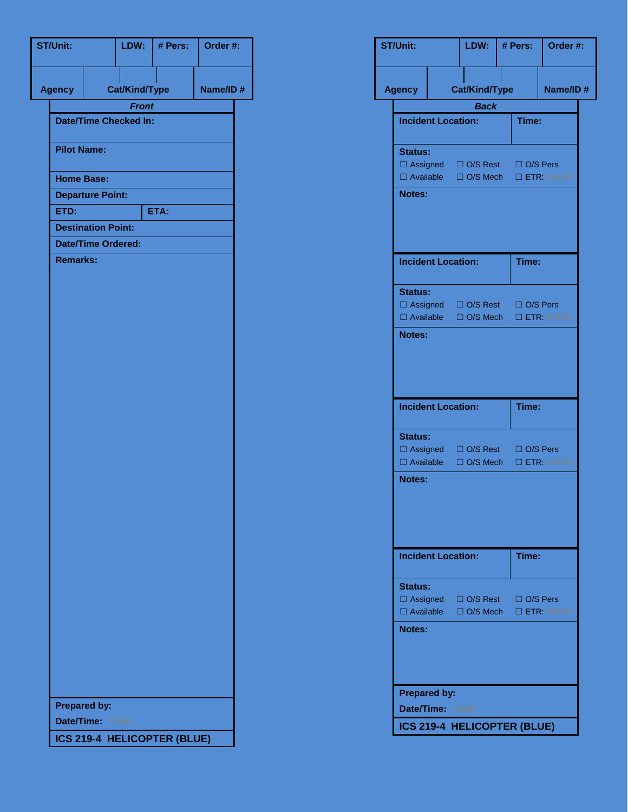| <b>ST/Unit:</b>   |                                              | LDW:                                         | # Pers:                     | Order #: |  |  |  |  |
|-------------------|----------------------------------------------|----------------------------------------------|-----------------------------|----------|--|--|--|--|
| <b>Agency</b>     |                                              | Cat/Kind/Type                                |                             | Name/ID# |  |  |  |  |
|                   |                                              | <b>Front</b><br><b>Date/Time Checked In:</b> |                             |          |  |  |  |  |
|                   |                                              |                                              |                             |          |  |  |  |  |
|                   | <b>Pilot Name:</b>                           |                                              |                             |          |  |  |  |  |
| <b>Home Base:</b> |                                              |                                              |                             |          |  |  |  |  |
|                   | <b>Departure Point:</b>                      |                                              |                             |          |  |  |  |  |
| ETD:              |                                              |                                              | ETA:                        |          |  |  |  |  |
|                   | <b>Destination Point:</b>                    |                                              |                             |          |  |  |  |  |
|                   | <b>Date/Time Ordered:</b><br><b>Remarks:</b> |                                              |                             |          |  |  |  |  |
|                   |                                              |                                              |                             |          |  |  |  |  |
|                   |                                              |                                              |                             |          |  |  |  |  |
|                   |                                              |                                              |                             |          |  |  |  |  |
|                   |                                              |                                              |                             |          |  |  |  |  |
|                   |                                              |                                              |                             |          |  |  |  |  |
|                   |                                              |                                              |                             |          |  |  |  |  |
|                   |                                              |                                              |                             |          |  |  |  |  |
|                   |                                              |                                              |                             |          |  |  |  |  |
|                   |                                              |                                              |                             |          |  |  |  |  |
|                   |                                              |                                              |                             |          |  |  |  |  |
|                   |                                              |                                              |                             |          |  |  |  |  |
|                   |                                              |                                              |                             |          |  |  |  |  |
|                   |                                              |                                              |                             |          |  |  |  |  |
|                   |                                              |                                              |                             |          |  |  |  |  |
|                   |                                              |                                              |                             |          |  |  |  |  |
|                   |                                              |                                              |                             |          |  |  |  |  |
|                   |                                              |                                              |                             |          |  |  |  |  |
|                   |                                              |                                              |                             |          |  |  |  |  |
|                   |                                              |                                              |                             |          |  |  |  |  |
|                   |                                              |                                              |                             |          |  |  |  |  |
|                   |                                              |                                              |                             |          |  |  |  |  |
|                   |                                              |                                              |                             |          |  |  |  |  |
|                   |                                              |                                              |                             |          |  |  |  |  |
|                   |                                              |                                              |                             |          |  |  |  |  |
|                   |                                              |                                              |                             |          |  |  |  |  |
|                   | <b>Prepared by:</b>                          |                                              |                             |          |  |  |  |  |
|                   | <b>Date/Time: Date</b>                       |                                              |                             |          |  |  |  |  |
|                   |                                              |                                              | ICS 219-4 HELICOPTER (BLUE) |          |  |  |  |  |

| <b>ST/Unit:</b>  |                           | LDW:                                                                   | # Pers: | Order #:        |  |
|------------------|---------------------------|------------------------------------------------------------------------|---------|-----------------|--|
| Agency           |                           | <b>Cat/Kind/Type</b>                                                   |         | Name/ID#        |  |
|                  |                           | <b>Back</b>                                                            |         |                 |  |
|                  | <b>Incident Location:</b> |                                                                        | Time:   |                 |  |
| <b>Status:</b>   |                           |                                                                        |         |                 |  |
|                  |                           | □ Assigned □ O/S Rest □ O/S Pers<br>□ Available □ O/S Mech □ ETR: HHMM |         |                 |  |
| <b>Notes:</b>    |                           |                                                                        |         |                 |  |
|                  |                           |                                                                        |         |                 |  |
|                  | <b>Incident Location:</b> |                                                                        | Time:   |                 |  |
| <b>Status:</b>   |                           |                                                                        |         |                 |  |
|                  |                           | □ Assigned □ O/S Rest □ O/S Pers<br>□ Available □ O/S Mech □ ETR: HHMM |         |                 |  |
| Notes:           |                           |                                                                        |         |                 |  |
|                  |                           |                                                                        |         |                 |  |
|                  |                           |                                                                        |         |                 |  |
|                  |                           |                                                                        |         |                 |  |
|                  | <b>Incident Location:</b> |                                                                        | Time:   |                 |  |
| <b>Status:</b>   |                           |                                                                        |         |                 |  |
|                  |                           | □ Assigned □ O/S Rest □ O/S Pers<br>□ Available □ O/S Mech □ ETR: HHMM |         |                 |  |
| <b>Notes:</b>    |                           |                                                                        |         |                 |  |
|                  |                           |                                                                        |         |                 |  |
|                  |                           |                                                                        |         |                 |  |
|                  |                           |                                                                        |         |                 |  |
|                  | <b>Incident Location:</b> |                                                                        | Time:   |                 |  |
|                  |                           |                                                                        |         |                 |  |
| <b>Status:</b>   |                           |                                                                        |         |                 |  |
|                  |                           | □ Assigned □ O/S Rest □ O/S Pers                                       |         |                 |  |
| $\Box$ Available |                           | $\Box$ O/S Mech                                                        |         | $\Box$ ETR HHMM |  |
| Notes:           |                           |                                                                        |         |                 |  |
|                  |                           |                                                                        |         |                 |  |
|                  |                           |                                                                        |         |                 |  |
|                  | <b>Prepared by:</b>       |                                                                        |         |                 |  |
|                  | <b>Date/Time: Date</b>    |                                                                        |         |                 |  |
|                  |                           | ICS 219-4 HELICOPTER (BLUE)                                            |         |                 |  |
|                  |                           |                                                                        |         |                 |  |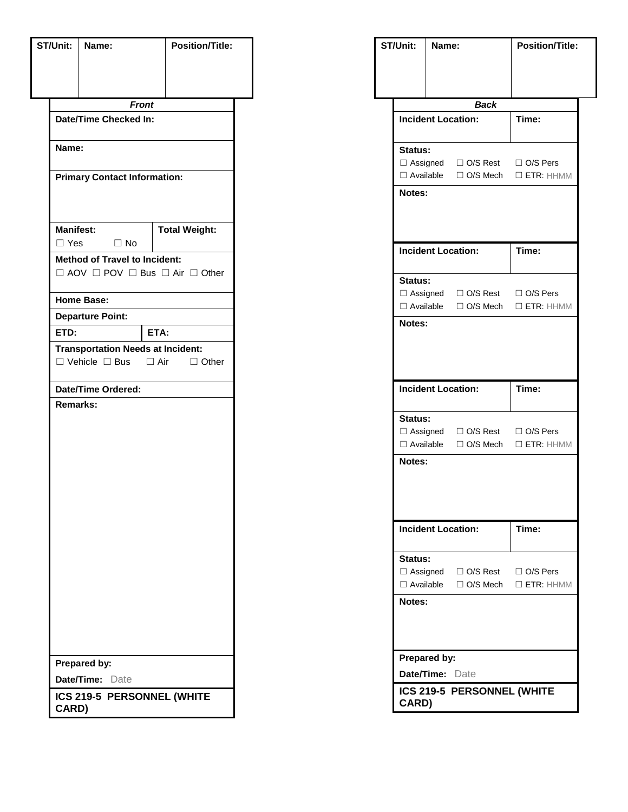| ST/Unit:         | Name:                                                    | <b>Position/Title:</b> |  |  |  |  |
|------------------|----------------------------------------------------------|------------------------|--|--|--|--|
|                  |                                                          |                        |  |  |  |  |
|                  |                                                          |                        |  |  |  |  |
|                  | <b>Front</b>                                             |                        |  |  |  |  |
|                  | Date/Time Checked In:                                    |                        |  |  |  |  |
|                  |                                                          |                        |  |  |  |  |
| Name:            |                                                          |                        |  |  |  |  |
|                  |                                                          |                        |  |  |  |  |
|                  | <b>Primary Contact Information:</b>                      |                        |  |  |  |  |
|                  |                                                          |                        |  |  |  |  |
|                  |                                                          |                        |  |  |  |  |
| <b>Manifest:</b> | $\Box$ No                                                | <b>Total Weight:</b>   |  |  |  |  |
| $\Box$ Yes       | <b>Method of Travel to Incident:</b>                     |                        |  |  |  |  |
|                  | $\Box$ AOV $\Box$ POV $\Box$ Bus $\Box$ Air $\Box$ Other |                        |  |  |  |  |
|                  |                                                          |                        |  |  |  |  |
|                  | <b>Home Base:</b>                                        |                        |  |  |  |  |
|                  | <b>Departure Point:</b>                                  |                        |  |  |  |  |
| ETD:             |                                                          | ETA:                   |  |  |  |  |
|                  | <b>Transportation Needs at Incident:</b>                 |                        |  |  |  |  |
|                  | $\Box$ Vehicle $\Box$ Bus $\Box$ Air $\Box$ Other        |                        |  |  |  |  |
|                  | Date/Time Ordered:                                       |                        |  |  |  |  |
| <b>Remarks:</b>  |                                                          |                        |  |  |  |  |
|                  |                                                          |                        |  |  |  |  |
|                  |                                                          |                        |  |  |  |  |
|                  |                                                          |                        |  |  |  |  |
|                  |                                                          |                        |  |  |  |  |
|                  |                                                          |                        |  |  |  |  |
|                  |                                                          |                        |  |  |  |  |
|                  |                                                          |                        |  |  |  |  |
|                  |                                                          |                        |  |  |  |  |
|                  |                                                          |                        |  |  |  |  |
|                  |                                                          |                        |  |  |  |  |
|                  |                                                          |                        |  |  |  |  |
|                  |                                                          |                        |  |  |  |  |
|                  |                                                          |                        |  |  |  |  |
|                  |                                                          |                        |  |  |  |  |
|                  |                                                          |                        |  |  |  |  |
|                  | Prepared by:                                             |                        |  |  |  |  |
|                  | Date/Time: Date                                          |                        |  |  |  |  |
| CARD)            | ICS 219-5 PERSONNEL (WHITE                               |                        |  |  |  |  |

|                                 | Name: |                                                 | <b>Position/Title:</b>                            |
|---------------------------------|-------|-------------------------------------------------|---------------------------------------------------|
|                                 |       |                                                 |                                                   |
|                                 |       |                                                 |                                                   |
|                                 |       | <b>Back</b>                                     |                                                   |
|                                 |       | <b>Incident Location:</b>                       | Time:                                             |
| Status:                         |       |                                                 |                                                   |
|                                 |       | $\Box$ Assigned $\Box$ O/S Rest $\Box$ O/S Pers |                                                   |
|                                 |       |                                                 | $\Box$ Available $\Box$ O/S Mech $\Box$ ETR: HHMM |
| <b>Notes:</b>                   |       |                                                 |                                                   |
|                                 |       |                                                 |                                                   |
|                                 |       |                                                 |                                                   |
|                                 |       | <b>Incident Location:</b>                       | Time:                                             |
| Status:                         |       |                                                 |                                                   |
|                                 |       | $\Box$ Assigned $\Box$ O/S Rest $\Box$ O/S Pers |                                                   |
| □ Available                     |       | □ O/S Mech                                      | $\Box$ ETR: HHMM                                  |
| Notes:                          |       |                                                 |                                                   |
|                                 |       |                                                 |                                                   |
|                                 |       |                                                 |                                                   |
|                                 |       |                                                 |                                                   |
|                                 |       | <b>Incident Location:</b>                       | Time:                                             |
| <b>Status:</b>                  |       |                                                 |                                                   |
|                                 |       | $\Box$ Assigned $\Box$ O/S Rest $\Box$ O/S Pers |                                                   |
|                                 |       | □ Available □ O/S Mech                          | $\Box$ ETR: HHMM                                  |
|                                 |       |                                                 |                                                   |
| <b>Notes:</b>                   |       |                                                 |                                                   |
|                                 |       |                                                 |                                                   |
|                                 |       |                                                 |                                                   |
|                                 |       | <b>Incident Location:</b>                       | Time:                                             |
|                                 |       |                                                 |                                                   |
| Status:                         |       |                                                 |                                                   |
|                                 |       | $\Box$ Assigned $\Box$ O/S Rest $\Box$ O/S Pers |                                                   |
|                                 |       |                                                 | □ Available □ O/S Mech □ ETR: HHMM                |
| <b>Notes:</b>                   |       |                                                 |                                                   |
|                                 |       |                                                 |                                                   |
|                                 |       |                                                 |                                                   |
|                                 |       |                                                 |                                                   |
| Prepared by:<br>Date/Time: Date |       |                                                 |                                                   |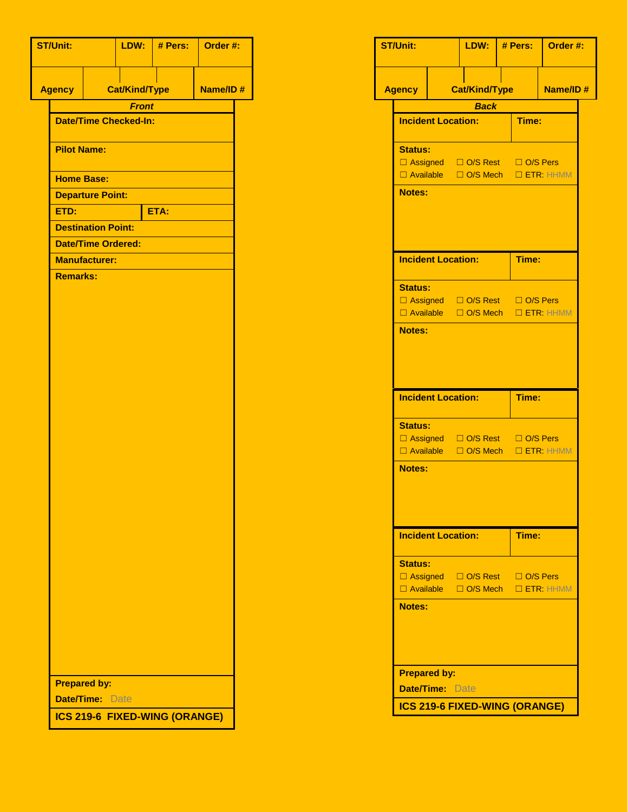| <b>ST/Unit:</b>    |                           |                              | $LDW:$ # Pers:                | Order #: |  |
|--------------------|---------------------------|------------------------------|-------------------------------|----------|--|
| <b>Agency</b>      |                           | <b>Cat/Kind/Type</b>         |                               | Name/ID# |  |
|                    |                           | <b>Front</b>                 |                               |          |  |
|                    |                           | <b>Date/Time Checked-In:</b> |                               |          |  |
| <b>Pilot Name:</b> |                           |                              |                               |          |  |
| <b>Home Base:</b>  |                           |                              |                               |          |  |
|                    | <b>Departure Point:</b>   |                              |                               |          |  |
| ETD:               |                           |                              | ETA:                          |          |  |
|                    | <b>Destination Point:</b> |                              |                               |          |  |
|                    | <b>Date/Time Ordered:</b> |                              |                               |          |  |
|                    | <b>Manufacturer:</b>      |                              |                               |          |  |
| <b>Remarks:</b>    |                           |                              |                               |          |  |
|                    |                           |                              |                               |          |  |
|                    |                           |                              |                               |          |  |
|                    |                           |                              |                               |          |  |
|                    |                           |                              |                               |          |  |
|                    |                           |                              |                               |          |  |
|                    |                           |                              |                               |          |  |
|                    |                           |                              |                               |          |  |
|                    |                           |                              |                               |          |  |
|                    |                           |                              |                               |          |  |
|                    |                           |                              |                               |          |  |
|                    |                           |                              |                               |          |  |
|                    |                           |                              |                               |          |  |
|                    |                           |                              |                               |          |  |
|                    |                           |                              |                               |          |  |
|                    |                           |                              |                               |          |  |
|                    |                           |                              |                               |          |  |
|                    |                           |                              |                               |          |  |
|                    |                           |                              |                               |          |  |
|                    |                           |                              |                               |          |  |
|                    |                           |                              |                               |          |  |
|                    |                           |                              |                               |          |  |
|                    |                           |                              |                               |          |  |
|                    |                           |                              |                               |          |  |
|                    |                           |                              |                               |          |  |
|                    | <b>Prepared by:</b>       |                              |                               |          |  |
|                    | <b>Date/Time: Date</b>    |                              |                               |          |  |
|                    |                           |                              | ICS 219-6 FIXED-WING (ORANGE) |          |  |

| <b>ST/Unit:</b> |                           | LDW:                               | # Pers: | Order #: |  |
|-----------------|---------------------------|------------------------------------|---------|----------|--|
| <b>Agency</b>   |                           | <b>Cat/Kind/Type</b>               |         | Name/ID# |  |
|                 |                           | <b>Back</b>                        |         |          |  |
|                 | <b>Incident Location:</b> |                                    | Time:   |          |  |
| <b>Status:</b>  |                           |                                    |         |          |  |
|                 |                           | □ Assigned □ O/S Rest □ O/S Pers   |         |          |  |
|                 |                           | □ Available □ O/S Mech □ ETR: HHMM |         |          |  |
| <b>Notes:</b>   |                           |                                    |         |          |  |
|                 |                           |                                    |         |          |  |
|                 |                           |                                    |         |          |  |
|                 | <b>Incident Location:</b> |                                    | Time:   |          |  |
| <b>Status:</b>  |                           |                                    |         |          |  |
|                 |                           | □ Assigned □ O/S Rest □ O/S Pers   |         |          |  |
|                 |                           | □ Available □ O/S Mech □ ETR: HHMM |         |          |  |
| <b>Notes:</b>   |                           |                                    |         |          |  |
|                 |                           |                                    |         |          |  |
|                 |                           |                                    |         |          |  |
|                 |                           |                                    |         |          |  |
|                 | <b>Incident Location:</b> |                                    | Time:   |          |  |
|                 |                           |                                    |         |          |  |
| <b>Status:</b>  |                           |                                    |         |          |  |
|                 |                           | □ Assigned □ O/S Rest □ O/S Pers   |         |          |  |
|                 |                           | □ Available □ O/S Mech □ ETR: HHMM |         |          |  |
| <b>Notes:</b>   |                           |                                    |         |          |  |
|                 |                           |                                    |         |          |  |
|                 |                           |                                    |         |          |  |
|                 | <b>Incident Location:</b> |                                    | Time:   |          |  |
|                 |                           |                                    |         |          |  |
| <b>Status:</b>  |                           |                                    |         |          |  |
|                 |                           | □ Assigned □ O/S Rest □ O/S Pers   |         |          |  |
|                 |                           | □ Available □ O/S Mech □ ETR: HHMM |         |          |  |
| <b>Notes:</b>   |                           |                                    |         |          |  |
|                 |                           |                                    |         |          |  |
|                 |                           |                                    |         |          |  |
|                 |                           |                                    |         |          |  |
|                 | <b>Prepared by:</b>       |                                    |         |          |  |
|                 | <b>Date/Time: Date</b>    |                                    |         |          |  |
|                 |                           | ICS 219-6 FIXED-WING (ORANGE)      |         |          |  |
|                 |                           |                                    |         |          |  |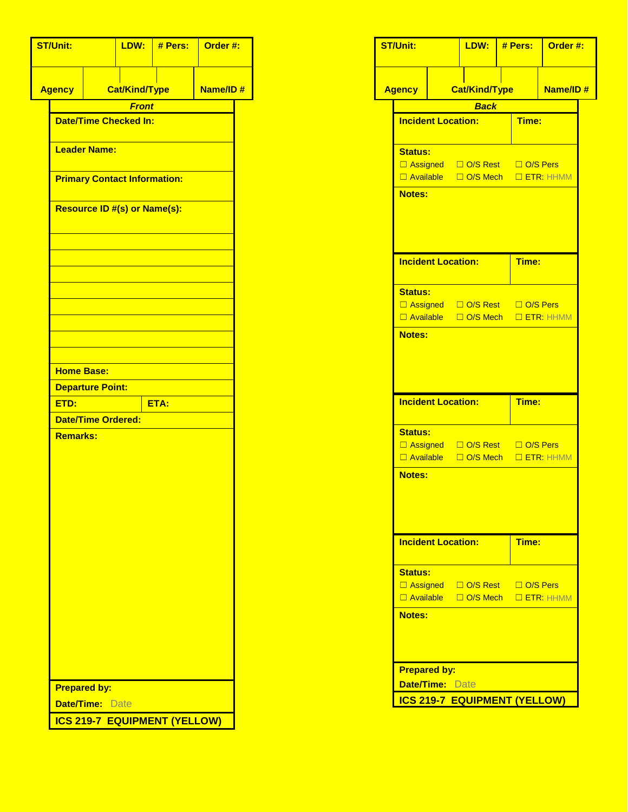| <b>ST/Unit:</b>                     |                           | LDW:                                | # Pers: | Order #: |  |  |
|-------------------------------------|---------------------------|-------------------------------------|---------|----------|--|--|
| <b>Agency</b>                       |                           | <b>Cat/Kind/Type</b>                |         | Name/ID# |  |  |
|                                     |                           | <b>Front</b>                        |         |          |  |  |
|                                     |                           | <b>Date/Time Checked In:</b>        |         |          |  |  |
|                                     |                           |                                     |         |          |  |  |
|                                     | <b>Leader Name:</b>       |                                     |         |          |  |  |
| <b>Primary Contact Information:</b> |                           |                                     |         |          |  |  |
|                                     |                           | <b>Resource ID #(s) or Name(s):</b> |         |          |  |  |
|                                     |                           |                                     |         |          |  |  |
|                                     |                           |                                     |         |          |  |  |
|                                     |                           |                                     |         |          |  |  |
|                                     |                           |                                     |         |          |  |  |
|                                     |                           |                                     |         |          |  |  |
|                                     |                           |                                     |         |          |  |  |
|                                     |                           |                                     |         |          |  |  |
| <b>Home Base:</b>                   |                           |                                     |         |          |  |  |
|                                     | <b>Departure Point:</b>   |                                     |         |          |  |  |
| ETD:                                |                           |                                     | ETA:    |          |  |  |
|                                     | <b>Date/Time Ordered:</b> |                                     |         |          |  |  |
| <b>Remarks:</b>                     |                           |                                     |         |          |  |  |
|                                     |                           |                                     |         |          |  |  |
|                                     |                           |                                     |         |          |  |  |
|                                     |                           |                                     |         |          |  |  |
|                                     |                           |                                     |         |          |  |  |
|                                     |                           |                                     |         |          |  |  |
|                                     |                           |                                     |         |          |  |  |
|                                     |                           |                                     |         |          |  |  |
|                                     |                           |                                     |         |          |  |  |
|                                     |                           |                                     |         |          |  |  |
|                                     |                           |                                     |         |          |  |  |
|                                     |                           |                                     |         |          |  |  |
|                                     |                           |                                     |         |          |  |  |
|                                     |                           |                                     |         |          |  |  |
|                                     | <b>Prepared by:</b>       |                                     |         |          |  |  |
|                                     | <b>Date/Time: Date</b>    |                                     |         |          |  |  |
| <b>ICS 219-7 EQUIPMENT (YELLOW)</b> |                           |                                     |         |          |  |  |

| <b>ST/Unit:</b>     |                                  | LDW:                                                                                  | # Pers:                            |                                    | Order #: |  |
|---------------------|----------------------------------|---------------------------------------------------------------------------------------|------------------------------------|------------------------------------|----------|--|
| <b>Agency</b>       |                                  |                                                                                       | <b>Cat/Kind/Type</b>               |                                    | Name/ID# |  |
|                     |                                  | Back                                                                                  |                                    |                                    |          |  |
|                     | <b>Incident Location:</b>        |                                                                                       |                                    | Time:                              |          |  |
| Status:             |                                  |                                                                                       |                                    |                                    |          |  |
|                     |                                  | □ Assigned □ O/S Rest □ O/S Pers                                                      |                                    | □ Available □ O/S Mech □ ETR: HHMM |          |  |
| <b>Notes:</b>       |                                  |                                                                                       |                                    |                                    |          |  |
|                     |                                  |                                                                                       |                                    |                                    |          |  |
|                     | <b>Incident Location:</b>        |                                                                                       |                                    | Time:                              |          |  |
| <b>Status:</b>      |                                  |                                                                                       |                                    |                                    |          |  |
|                     |                                  | □ Assigned □ O/S Rest □ O/S Pers<br>$\Box$ Available $\Box$ O/S Mech $\Box$ ETR: HHMM |                                    |                                    |          |  |
| Notes:              |                                  |                                                                                       |                                    |                                    |          |  |
|                     |                                  |                                                                                       |                                    |                                    |          |  |
|                     |                                  |                                                                                       |                                    |                                    |          |  |
|                     | <b>Incident Location:</b>        |                                                                                       |                                    | Time:                              |          |  |
| <b>Status:</b>      |                                  |                                                                                       |                                    |                                    |          |  |
|                     | □ Assigned □ O/S Rest □ O/S Pers |                                                                                       | □ Available □ O/S Mech □ ETR: HHMM |                                    |          |  |
| <b>Notes:</b>       |                                  |                                                                                       |                                    |                                    |          |  |
|                     |                                  |                                                                                       |                                    |                                    |          |  |
|                     |                                  |                                                                                       |                                    |                                    |          |  |
|                     | <b>Incident Location:</b>        |                                                                                       |                                    | Time:                              |          |  |
| <b>Status:</b>      |                                  |                                                                                       |                                    |                                    |          |  |
|                     |                                  | □ Assigned □ O/S Rest □ O/S Pers<br>□ Available □ O/S Mech □ ETR: HHMM                |                                    |                                    |          |  |
| <b>Notes:</b>       |                                  |                                                                                       |                                    |                                    |          |  |
|                     |                                  |                                                                                       |                                    |                                    |          |  |
|                     |                                  |                                                                                       |                                    |                                    |          |  |
| <b>Prepared by:</b> | <b>Date/Time: Date</b>           |                                                                                       |                                    |                                    |          |  |
|                     |                                  |                                                                                       |                                    |                                    |          |  |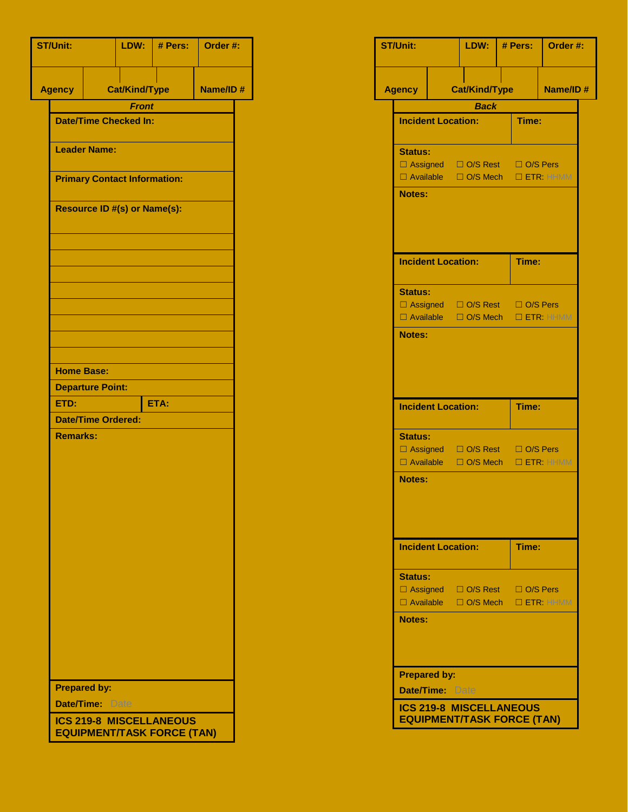| <b>ST/Unit:</b>   |                                                                     |                                     | # Pers:              | Order #: |  |  |  |  |  |
|-------------------|---------------------------------------------------------------------|-------------------------------------|----------------------|----------|--|--|--|--|--|
| <b>Agency</b>     |                                                                     |                                     | <b>Cat/Kind/Type</b> | Name/ID# |  |  |  |  |  |
|                   | <b>Front</b>                                                        |                                     |                      |          |  |  |  |  |  |
|                   | <b>Date/Time Checked In:</b>                                        |                                     |                      |          |  |  |  |  |  |
|                   | <b>Leader Name:</b>                                                 |                                     |                      |          |  |  |  |  |  |
|                   | <b>Primary Contact Information:</b>                                 |                                     |                      |          |  |  |  |  |  |
|                   |                                                                     | <b>Resource ID #(s) or Name(s):</b> |                      |          |  |  |  |  |  |
|                   |                                                                     |                                     |                      |          |  |  |  |  |  |
|                   |                                                                     |                                     |                      |          |  |  |  |  |  |
|                   |                                                                     |                                     |                      |          |  |  |  |  |  |
|                   |                                                                     |                                     |                      |          |  |  |  |  |  |
|                   |                                                                     |                                     |                      |          |  |  |  |  |  |
|                   |                                                                     |                                     |                      |          |  |  |  |  |  |
| <b>Home Base:</b> |                                                                     |                                     |                      |          |  |  |  |  |  |
|                   | <b>Departure Point:</b>                                             |                                     |                      |          |  |  |  |  |  |
| ETD:              | ETA:                                                                |                                     |                      |          |  |  |  |  |  |
|                   | <b>Date/Time Ordered:</b>                                           |                                     |                      |          |  |  |  |  |  |
| <b>Remarks:</b>   |                                                                     |                                     |                      |          |  |  |  |  |  |
|                   |                                                                     |                                     |                      |          |  |  |  |  |  |
|                   |                                                                     |                                     |                      |          |  |  |  |  |  |
|                   |                                                                     |                                     |                      |          |  |  |  |  |  |
|                   |                                                                     |                                     |                      |          |  |  |  |  |  |
|                   |                                                                     |                                     |                      |          |  |  |  |  |  |
|                   |                                                                     |                                     |                      |          |  |  |  |  |  |
|                   |                                                                     |                                     |                      |          |  |  |  |  |  |
|                   |                                                                     |                                     |                      |          |  |  |  |  |  |
|                   |                                                                     |                                     |                      |          |  |  |  |  |  |
|                   |                                                                     |                                     |                      |          |  |  |  |  |  |
|                   |                                                                     |                                     |                      |          |  |  |  |  |  |
|                   | <b>Prepared by:</b>                                                 |                                     |                      |          |  |  |  |  |  |
|                   | <b>Date/Time: Date</b>                                              |                                     |                      |          |  |  |  |  |  |
|                   | <b>ICS 219-8 MISCELLANEOUS</b><br><b>EQUIPMENT/TASK FORCE (TAN)</b> |                                     |                      |          |  |  |  |  |  |

| <b>ST/Unit:</b>  |                           | LDW:                                                                   | # Pers: |                                    | Order #:        |  |
|------------------|---------------------------|------------------------------------------------------------------------|---------|------------------------------------|-----------------|--|
| Agency           |                           | <b>Cat/Kind/Type</b>                                                   |         |                                    | <b>Name/ID#</b> |  |
|                  |                           | <b>Back</b>                                                            |         |                                    |                 |  |
|                  | <b>Incident Location:</b> |                                                                        |         | Time:                              |                 |  |
| <b>Status:</b>   |                           |                                                                        |         |                                    |                 |  |
|                  |                           |                                                                        |         | □ Assigned □ O/S Rest □ O/S Pers   |                 |  |
|                  |                           |                                                                        |         | □ Available □ O/S Mech □ ETR: HHMM |                 |  |
| <b>Notes:</b>    |                           |                                                                        |         |                                    |                 |  |
|                  | <b>Incident Location:</b> |                                                                        |         | Time:                              |                 |  |
| <b>Status:</b>   |                           |                                                                        |         |                                    |                 |  |
|                  |                           | □ Assigned □ O/S Rest □ O/S Pers                                       |         | □ Available □ O/S Mech □ ETR: HHMM |                 |  |
| <b>Notes:</b>    |                           |                                                                        |         |                                    |                 |  |
|                  | <b>Incident Location:</b> |                                                                        |         | Time:                              |                 |  |
| <b>Status:</b>   |                           |                                                                        |         |                                    |                 |  |
| $\Box$ Available |                           | □ Assigned □ O/S Rest □ O/S Pers                                       |         | □ O/S Mech □ ETR: HHMM             |                 |  |
| <b>Notes:</b>    |                           |                                                                        |         |                                    |                 |  |
|                  | <b>Incident Location:</b> |                                                                        |         | Time:                              |                 |  |
| <b>Status:</b>   |                           |                                                                        |         |                                    |                 |  |
|                  |                           | □ Assigned □ O/S Rest □ O/S Pers<br>□ Available □ O/S Mech □ ETR: HHMM |         |                                    |                 |  |
| <b>Notes:</b>    |                           |                                                                        |         |                                    |                 |  |
|                  | <b>Prepared by:</b>       |                                                                        |         |                                    |                 |  |
|                  | Date/Time: Date           |                                                                        |         |                                    |                 |  |
|                  |                           | <b>ICS 219-8 MISCELLANEOUS</b><br><b>EQUIPMENT/TASK FORCE (TAN)</b>    |         |                                    |                 |  |